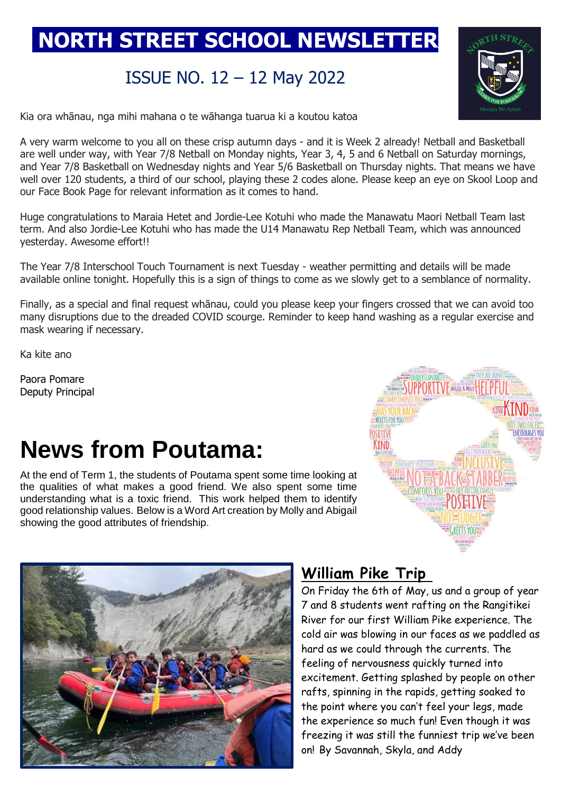## **NORTH STREET SCHOOL NEWSLETTER**

### ISSUE NO. 12 – 12 May 2022



Kia ora whānau, nga mihi mahana o te wāhanga tuarua ki a koutou katoa

A very warm welcome to you all on these crisp autumn days - and it is Week 2 already! Netball and Basketball are well under way, with Year 7/8 Netball on Monday nights, Year 3, 4, 5 and 6 Netball on Saturday mornings, and Year 7/8 Basketball on Wednesday nights and Year 5/6 Basketball on Thursday nights. That means we have well over 120 students, a third of our school, playing these 2 codes alone. Please keep an eye on Skool Loop and our Face Book Page for relevant information as it comes to hand.

Huge congratulations to Maraia Hetet and Jordie-Lee Kotuhi who made the Manawatu Maori Netball Team last term. And also Jordie-Lee Kotuhi who has made the U14 Manawatu Rep Netball Team, which was announced yesterday. Awesome effort!!

The Year 7/8 Interschool Touch Tournament is next Tuesday - weather permitting and details will be made available online tonight. Hopefully this is a sign of things to come as we slowly get to a semblance of normality.

Finally, as a special and final request whānau, could you please keep your fingers crossed that we can avoid too many disruptions due to the dreaded COVID scourge. Reminder to keep hand washing as a regular exercise and mask wearing if necessary.

Ka kite ano

Paora Pomare Deputy Principal

# **News from Poutama:**

At the end of Term 1, the students of Poutama spent some time looking at the qualities of what makes a good friend. We also spent some time understanding what is a toxic friend. This work helped them to identify good relationship values. Below is a Word Art creation by Molly and Abigail showing the good attributes of friendship.





#### **William Pike Trip**

On Friday the 6th of May, us and a group of year 7 and 8 students went rafting on the Rangitikei River for our first William Pike experience. The cold air was blowing in our faces as we paddled as hard as we could through the currents. The feeling of nervousness quickly turned into excitement. Getting splashed by people on other rafts, spinning in the rapids, getting soaked to the point where you can't feel your legs, made the experience so much fun! Even though it was freezing it was still the funniest trip we've been on! By Savannah, Skyla, and Addy